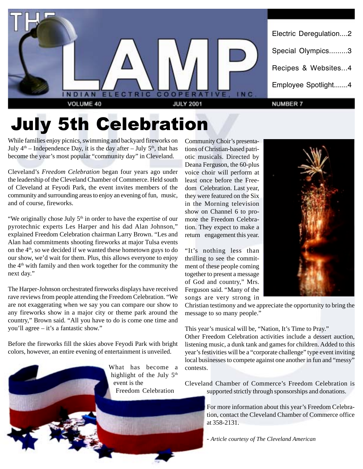

# July 5th Celebration

While families enjoy picnics, swimming and backyard fireworks on July  $4<sup>th</sup>$  – Independence Day, it is the day after – July  $5<sup>th</sup>$ , that has become the year's most popular "community day" in Cleveland.

Cleveland's *Freedom Celebration* began four years ago under the leadership of the Cleveland Chamber of Commerce. Held south of Cleveland at Feyodi Park, the event invites members of the community and surrounding areas to enjoy an evening of fun, music, and of course, fireworks.

"We originally chose July  $5<sup>th</sup>$  in order to have the expertise of our pyrotechnic experts Les Harper and his dad Alan Johnson," explained Freedom Celebration chairman Larry Brown. "Les and Alan had commitments shooting fireworks at major Tulsa events on the 4th, so we decided if we wanted these hometown guys to do our show, we'd wait for them. Plus, this allows everyone to enjoy the  $4<sup>th</sup>$  with family and then work together for the community the next day."

The Harper-Johnson orchestrated fireworks displays have received rave reviews from people attending the Freedom Celebration. "We are not exaggerating when we say you can compare our show to any fireworks show in a major city or theme park around the country," Brown said. "All you have to do is come one time and you'll agree – it's a fantastic show."

Before the fireworks fill the skies above Feyodi Park with bright colors, however, an entire evening of entertainment is unveiled.



Community Choir's presentations of Christian-based patriotic musicals. Directed by Deana Ferguson, the 60-plus voice choir will perform at least once before the Freedom Celebration. Last year, they were featured on the Six in the Morning television show on Channel 6 to promote the Freedom Celebration. They expect to make a return engagement this year.

"It's nothing less than thrilling to see the commitment of these people coming together to present a message of God and country," Mrs. Ferguson said. "Many of the songs are very strong in



Christian testimony and we appreciate the opportunity to bring the message to so many people."

This year's musical will be, "Nation, It's Time to Pray."

Other Freedom Celebration activities include a dessert auction, listening music, a dunk tank and games for children. Added to this year's festivities will be a "corporate challenge" type event inviting local businesses to compete against one another in fun and "messy" contests.

Cleveland Chamber of Commerce's Freedom Celebration is supported strictly through sponsorships and donations.

> For more information about this year's Freedom Celebration, contact the Cleveland Chamber of Commerce office at 358-2131.

- *Article courtesy of The Cleveland American*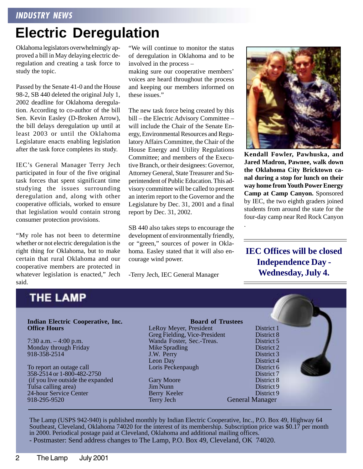# **Electric Deregulation**

Oklahoma legislators overwhelmingly approved a bill in May delaying electric deregulation and creating a task force to study the topic.

Passed by the Senate 41-0 and the House 98-2, SB 440 deleted the original July 1, 2002 deadline for Oklahoma deregulation. According to co-author of the bill Sen. Kevin Easley (D-Broken Arrow), the bill delays deregulation up until at least 2003 or until the Oklahoma Legislature enacts enabling legislation after the task force completes its study.

IEC's General Manager Terry Jech participated in four of the five original task forces that spent significant time studying the issues surrounding deregulation and, along with other cooperative officials, worked to ensure that legislation would contain strong consumer protection provisions.

"My role has not been to determine whether or not electric deregulation is the right thing for Oklahoma, but to make certain that rural Oklahoma and our cooperative members are protected in whatever legislation is enacted," Jech said.

"We will continue to monitor the status of deregulation in Oklahoma and to be involved in the process –

making sure our cooperative members' voices are heard throughout the process and keeping our members informed on these issues."

The new task force being created by this bill – the Electric Advisory Committee – will include the Chair of the Senate Energy, Environmental Resources and Regulatory Affairs Committee, the Chair of the House Energy and Utility Regulations Committee; and members of the Executive Branch, or their designees: Governor, Attorney General, State Treasurer and Superintendent of Public Education. This advisory committee will be called to present an interim report to the Governor and the Legislature by Dec. 31, 2001 and a final report by Dec. 31, 2002.

SB 440 also takes steps to encourage the development of environmentally friendly, or "green," sources of power in Oklahoma. Easley stated that it will also encourage wind power.

-Terry Jech, IEC General Manager



**Kendall Fowler, Pawhuska, and Jared Madron, Pawnee, walk down the Oklahoma City Bricktown canal during a stop for lunch on their way home from Youth Power Energy Camp at Camp Canyon.** Sponsored by IEC, the two eighth graders joined students from around the state for the four-day camp near Red Rock Canyon

### **IEC Offices will be closed Independence Day - Wednesday, July 4.**

### **THE LAMP**

#### **Indian Electric Cooperative, Inc. Office Hours**

7:30 a.m. – 4:00 p.m. Monday through Friday 918-358-2514

To report an outage call 358-2514 or 1-800-482-2750 (if you live outside the expanded Tulsa calling area) 24-hour Service Center 918-295-9520

**Board of Trustees** LeRoy Meyer, President District 1 Greg Fielding, Vice-President District 8<br>
Wanda Foster, Sec.-Treas. District 5 Wanda Foster, Sec.-Treas. District 5<br>Mike Spradling District 2 Mike Spradling J.W. Perry District 3 Leon Day District 4 Loris Peckenpaugh

Jim Nunn Berry Keeler District 9 Terry Jech General Manager

District 7<br>District 8 Gary Moore<br>
Jim Nunn<br>
District 9

.

The Lamp (USPS 942-940) is published monthly by Indian Electric Cooperative, Inc., P.O. Box 49, Highway 64 Southeast, Cleveland, Oklahoma 74020 for the interest of its membership. Subscription price was \$0.17 per month in 2000. Periodical postage paid at Cleveland, Oklahoma and additional mailing offices. - Postmaster: Send address changes to The Lamp, P.O. Box 49, Cleveland, OK 74020.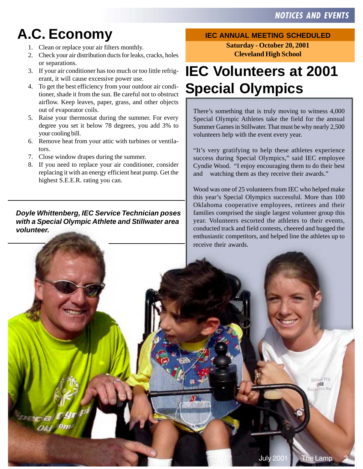# **A.C. Economy**

- 1. Clean or replace your air filters monthly.
- 2. Check your air distribution ducts for leaks, cracks, holes or separations.
- 3. If your air conditioner has too much or too little refrigerant, it will cause excessive power use.
- 4. To get the best efficiency from your outdoor air conditioner, shade it from the sun. Be careful not to obstruct airflow. Keep leaves, paper, grass, and other objects out of evaporator coils.
- 5. Raise your thermostat during the summer. For every degree you set it below 78 degrees, you add 3% to your cooling bill.
- 6. Remove heat from your attic with turbines or ventilators.
- 7. Close window drapes during the summer.
- 8. If you need to replace your air conditioner, consider replacing it with an energy efficient heat pump. Get the highest S.E.E.R. rating you can.

**Doyle Whittenberg, IEC Service Technician poses with a Special Olympic Athlete and Stillwater area volunteer.**

#### **IEC ANNUAL MEETING SCHEDULED**

**Saturday - October 20, 2001 Cleveland High School**

## **IEC Volunteers at 2001 Special Olympics**

There's something that is truly moving to witness 4,000 Special Olympic Athletes take the field for the annual Summer Games in Stillwater. That must be why nearly 2,500 volunteers help with the event every year.

"It's very gratifying to help these athletes experience success during Special Olympics," said IEC employee Cyndie Wood. "I enjoy encouraging them to do their best and watching them as they receive their awards."

Wood was one of 25 volunteers from IEC who helped make this year's Special Olympics successful. More than 100 Oklahoma cooperative employees, retirees and their families comprised the single largest volunteer group this year. Volunteers escorted the athletes to their events, conducted track and field contests, cheered and hugged the enthusiastic competitors, and helped line the athletes up to receive their awards.